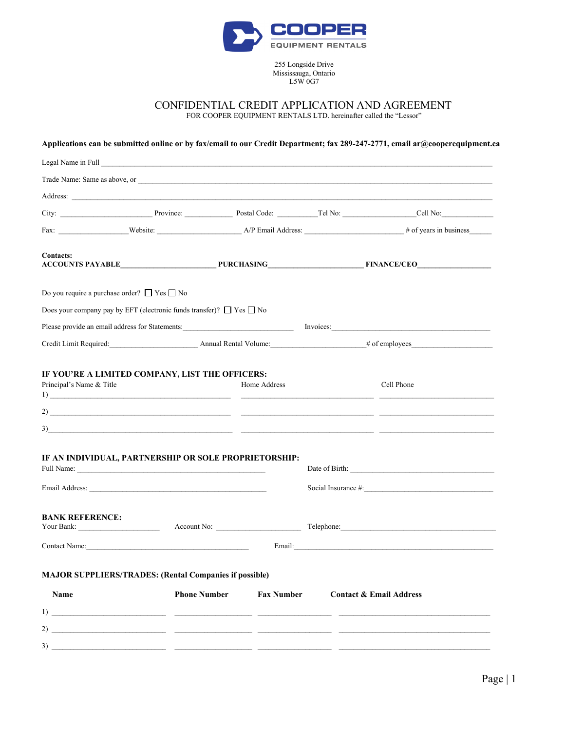

255 Longside Drive Mississauga, Ontario L5W 0G7

CONFIDENTIAL CREDIT APPLICATION AND AGREEMENT

FOR COOPER EQUIPMENT RENTALS LTD. hereinafter called the "Lessor"

|                                                       |                                                                                  |                     |                   |  | Applications can be submitted online or by fax/email to our Credit Department; fax 289-247-2771, email ar@cooperequipment.ca                                                                                                   |
|-------------------------------------------------------|----------------------------------------------------------------------------------|---------------------|-------------------|--|--------------------------------------------------------------------------------------------------------------------------------------------------------------------------------------------------------------------------------|
|                                                       |                                                                                  |                     |                   |  |                                                                                                                                                                                                                                |
|                                                       |                                                                                  |                     |                   |  |                                                                                                                                                                                                                                |
|                                                       |                                                                                  |                     |                   |  |                                                                                                                                                                                                                                |
|                                                       |                                                                                  |                     |                   |  | City: City: Cult No: Cult No: Cult No: Cult No: Cult No: Cult No: Cult No: Cult No: Cult No: Cult No: Cult No: Cult No: Cult No: Cult No: Cult No: Cult No: Cult No: Cult No: Cult No: Cult No: Cult No: Cult No: Cult No: Cul |
|                                                       |                                                                                  |                     |                   |  |                                                                                                                                                                                                                                |
| <b>Contacts:</b>                                      |                                                                                  |                     |                   |  | ACCOUNTS PAYABLE PURCHASING FINANCE/CEO                                                                                                                                                                                        |
| Do you require a purchase order? $\Box$ Yes $\Box$ No |                                                                                  |                     |                   |  |                                                                                                                                                                                                                                |
|                                                       | Does your company pay by EFT (electronic funds transfer)? $\Box$ Yes $\Box$ No   |                     |                   |  |                                                                                                                                                                                                                                |
|                                                       | Please provide an email address for Statements: ________________________________ |                     |                   |  | Invoices:                                                                                                                                                                                                                      |
|                                                       |                                                                                  |                     |                   |  |                                                                                                                                                                                                                                |
|                                                       | IF AN INDIVIDUAL, PARTNERSHIP OR SOLE PROPRIETORSHIP:                            |                     |                   |  | $\frac{1}{2}$<br>$2)$ $\overline{\phantom{a}}$                                                                                                                                                                                 |
|                                                       |                                                                                  |                     |                   |  | Social Insurance #:                                                                                                                                                                                                            |
| <b>BANK REFERENCE:</b>                                |                                                                                  |                     |                   |  | Telephone: Maria Contractor Contractor Contractor Contractor Contractor Contractor Contractor Contractor Contractor Contractor Contractor Contractor Contractor Contractor Contractor Contractor Contractor Contractor Contrac |
| <b>Contact Name:</b>                                  |                                                                                  |                     | Email:            |  |                                                                                                                                                                                                                                |
|                                                       | <b>MAJOR SUPPLIERS/TRADES: (Rental Companies if possible)</b>                    |                     |                   |  |                                                                                                                                                                                                                                |
| Name                                                  |                                                                                  | <b>Phone Number</b> | <b>Fax Number</b> |  | <b>Contact &amp; Email Address</b>                                                                                                                                                                                             |
|                                                       |                                                                                  |                     |                   |  |                                                                                                                                                                                                                                |
|                                                       |                                                                                  |                     |                   |  |                                                                                                                                                                                                                                |
| 3)                                                    |                                                                                  |                     |                   |  |                                                                                                                                                                                                                                |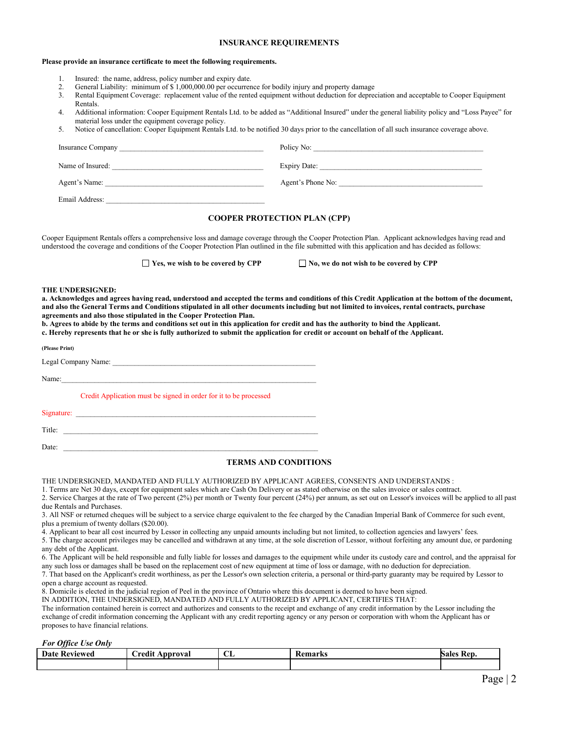## **INSURANCE REQUIREMENTS**

#### **Please provide an insurance certificate to meet the following requirements.**

- 1. Insured: the name, address, policy number and expiry date.
- 2. General Liability: minimum of \$ 1,000,000.00 per occurrence for bodily injury and property damage<br>3. Rental Equipment Coverage: replacement value of the rented equipment without deduction for deprec
- 3. Rental Equipment Coverage: replacement value of the rented equipment without deduction for depreciation and acceptable to Cooper Equipment Rentals.
- 4. Additional information: Cooper Equipment Rentals Ltd. to be added as "Additional Insured" under the general liability policy and "Loss Payee" for material loss under the equipment coverage policy.
- 5. Notice of cancellation: Cooper Equipment Rentals Ltd. to be notified 30 days prior to the cancellation of all such insurance coverage above.

| Insurance Company | Policy No:          |
|-------------------|---------------------|
| Name of Insured:  | <b>Expiry Date:</b> |
| Agent's Name:     | Agent's Phone No:   |
| Email Address:    |                     |

# **COOPER PROTECTION PLAN (CPP)**

Cooper Equipment Rentals offers a comprehensive loss and damage coverage through the Cooper Protection Plan. Applicant acknowledges having read and understood the coverage and conditions of the Cooper Protection Plan outlined in the file submitted with this application and has decided as follows:

■ **Yes, we wish to be covered by CPP** No, we do not wish to be covered by CPP

#### **THE UNDERSIGNED:**

**a. Acknowledges and agrees having read, understood and accepted the terms and conditions of this Credit Application at the bottom of the document, and also the General Terms and Conditions stipulated in all other documents including but not limited to invoices, rental contracts, purchase agreements and also those stipulated in the Cooper Protection Plan.**

**b. Agrees to abide by the terms and conditions set out in this application for credit and has the authority to bind the Applicant.**

**c. Hereby represents that he or she is fully authorized to submit the application for credit or account on behalf of the Applicant.**

| (Please Print)                                                            |
|---------------------------------------------------------------------------|
|                                                                           |
| Name:<br><u> 1980 - Jan James James Barnett, fransk politik (d. 1980)</u> |
| Credit Application must be signed in order for it to be processed         |
|                                                                           |
| Title:                                                                    |
| Date:                                                                     |

### **TERMS AND CONDITIONS**

THE UNDERSIGNED, MANDATED AND FULLY AUTHORIZED BY APPLICANT AGREES, CONSENTS AND UNDERSTANDS :

1. Terms are Net 30 days, except for equipment sales which are Cash On Delivery or as stated otherwise on the sales invoice or sales contract.

2. Service Charges at the rate of Two percent (2%) per month or Twenty four percent (24%) per annum, as set out on Lessor's invoices will be applied to all past due Rentals and Purchases.

3. All NSF or returned cheques will be subject to a service charge equivalent to the fee charged by the Canadian Imperial Bank of Commerce for such event, plus a premium of twenty dollars (\$20.00).

4. Applicant to bear all cost incurred by Lessor in collecting any unpaid amounts including but not limited, to collection agencies and lawyers' fees.

5. The charge account privileges may be cancelled and withdrawn at any time, at the sole discretion of Lessor, without forfeiting any amount due, or pardoning any debt of the Applicant.

6. The Applicant will be held responsible and fully liable for losses and damages to the equipment while under its custody care and control, and the appraisal for any such loss or damages shall be based on the replacement cost of new equipment at time of loss or damage, with no deduction for depreciation.

7. That based on the Applicant's credit worthiness, as per the Lessor's own selection criteria, a personal or third-party guaranty may be required by Lessor to open a charge account as requested.

8. Domicile is elected in the judicial region of Peel in the province of Ontario where this document is deemed to have been signed.

IN ADDITION, THE UNDERSIGNED, MANDATED AND FULLY AUTHORIZED BY APPLICANT, CERTIFIES THAT:

The information contained herein is correct and authorizes and consents to the receipt and exchange of any credit information by the Lessor including the exchange of credit information concerning the Applicant with any credit reporting agency or any person or corporation with whom the Applicant has or proposes to have financial relations.

*For Office Use Only*

| <b>Date Reviewed</b> | .<br>Approval<br>redi | $\sim$<br>ப | <b>Remarks</b> | -Rep.<br>Sales |
|----------------------|-----------------------|-------------|----------------|----------------|
|                      |                       |             |                |                |